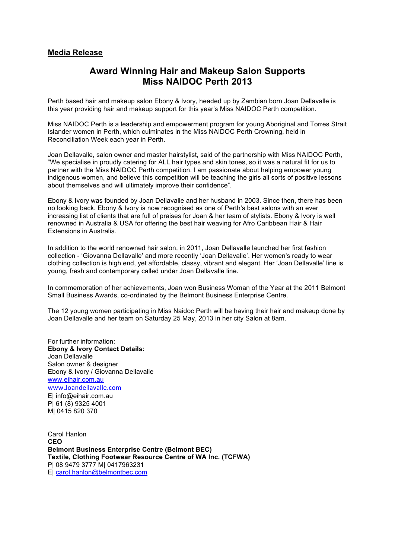## **Media Release**

## **Award Winning Hair and Makeup Salon Supports Miss NAIDOC Perth 2013**

Perth based hair and makeup salon Ebony & Ivory, headed up by Zambian born Joan Dellavalle is this year providing hair and makeup support for this year's Miss NAIDOC Perth competition.

Miss NAIDOC Perth is a leadership and empowerment program for young Aboriginal and Torres Strait Islander women in Perth, which culminates in the Miss NAIDOC Perth Crowning, held in Reconciliation Week each year in Perth.

Joan Dellavalle, salon owner and master hairstylist, said of the partnership with Miss NAIDOC Perth, "We specialise in proudly catering for ALL hair types and skin tones, so it was a natural fit for us to partner with the Miss NAIDOC Perth competition. I am passionate about helping empower young indigenous women, and believe this competition will be teaching the girls all sorts of positive lessons about themselves and will ultimately improve their confidence".

Ebony & Ivory was founded by Joan Dellavalle and her husband in 2003. Since then, there has been no looking back. Ebony & Ivory is now recognised as one of Perth's best salons with an ever increasing list of clients that are full of praises for Joan & her team of stylists. Ebony & Ivory is well renowned in Australia & USA for offering the best hair weaving for Afro Caribbean Hair & Hair Extensions in Australia.

In addition to the world renowned hair salon, in 2011, Joan Dellavalle launched her first fashion collection - 'Giovanna Dellavalle' and more recently 'Joan Dellavalle'. Her women's ready to wear clothing collection is high end, yet affordable, classy, vibrant and elegant. Her 'Joan Dellavalle' line is young, fresh and contemporary called under Joan Dellavalle line.

In commemoration of her achievements, Joan won Business Woman of the Year at the 2011 Belmont Small Business Awards, co-ordinated by the Belmont Business Enterprise Centre.

The 12 young women participating in Miss Naidoc Perth will be having their hair and makeup done by Joan Dellavalle and her team on Saturday 25 May, 2013 in her city Salon at 8am.

For further information: **Ebony & Ivory Contact Details:** Joan Dellavalle Salon owner & designer Ebony & Ivory / Giovanna Dellavalle www.eihair.com.au www.Joandellavalle.com E| info@eihair.com.au P| 61 (8) 9325 4001

M| 0415 820 370

Carol Hanlon **CEO Belmont Business Enterprise Centre (Belmont BEC) Textile, Clothing Footwear Resource Centre of WA Inc. (TCFWA)** P| 08 9479 3777 M| 0417963231 E| carol.hanlon@belmontbec.com